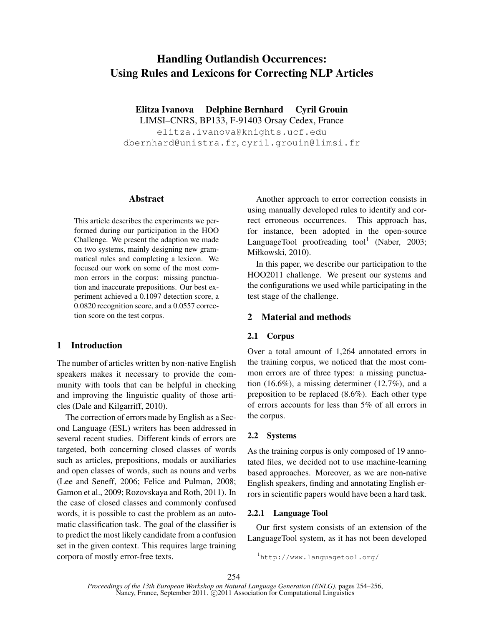# Handling Outlandish Occurrences: Using Rules and Lexicons for Correcting NLP Articles

Elitza Ivanova Delphine Bernhard Cyril Grouin

LIMSI–CNRS, BP133, F-91403 Orsay Cedex, France elitza.ivanova@knights.ucf.edu dbernhard@unistra.fr, cyril.grouin@limsi.fr

## Abstract

This article describes the experiments we performed during our participation in the HOO Challenge. We present the adaption we made on two systems, mainly designing new grammatical rules and completing a lexicon. We focused our work on some of the most common errors in the corpus: missing punctuation and inaccurate prepositions. Our best experiment achieved a 0.1097 detection score, a 0.0820 recognition score, and a 0.0557 correction score on the test corpus.

## 1 Introduction

The number of articles written by non-native English speakers makes it necessary to provide the community with tools that can be helpful in checking and improving the linguistic quality of those articles (Dale and Kilgarriff, 2010).

The correction of errors made by English as a Second Language (ESL) writers has been addressed in several recent studies. Different kinds of errors are targeted, both concerning closed classes of words such as articles, prepositions, modals or auxiliaries and open classes of words, such as nouns and verbs (Lee and Seneff, 2006; Felice and Pulman, 2008; Gamon et al., 2009; Rozovskaya and Roth, 2011). In the case of closed classes and commonly confused words, it is possible to cast the problem as an automatic classification task. The goal of the classifier is to predict the most likely candidate from a confusion set in the given context. This requires large training corpora of mostly error-free texts.

Another approach to error correction consists in using manually developed rules to identify and correct erroneous occurrences. This approach has, for instance, been adopted in the open-source LanguageTool proofreading tool<sup>1</sup> (Naber, 2003; Miłkowski, 2010).

In this paper, we describe our participation to the HOO2011 challenge. We present our systems and the configurations we used while participating in the test stage of the challenge.

# 2 Material and methods

## 2.1 Corpus

Over a total amount of 1,264 annotated errors in the training corpus, we noticed that the most common errors are of three types: a missing punctuation (16.6%), a missing determiner (12.7%), and a preposition to be replaced (8.6%). Each other type of errors accounts for less than 5% of all errors in the corpus.

## 2.2 Systems

As the training corpus is only composed of 19 annotated files, we decided not to use machine-learning based approaches. Moreover, as we are non-native English speakers, finding and annotating English errors in scientific papers would have been a hard task.

## 2.2.1 Language Tool

Our first system consists of an extension of the LanguageTool system, as it has not been developed

<sup>1</sup>http://www.languagetool.org/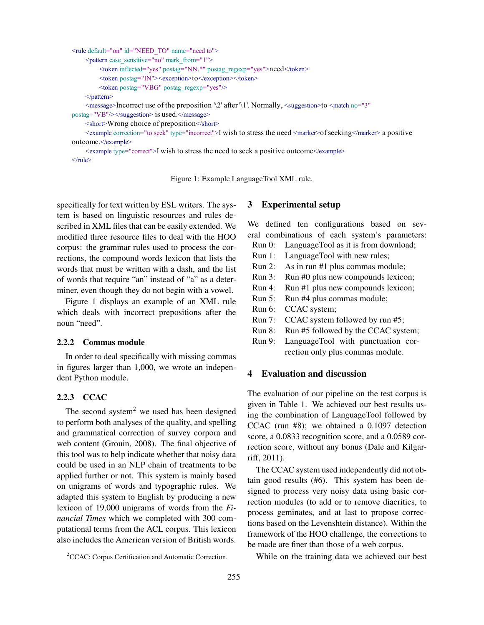```
<rule default="on" id="NEED_TO" name="need to">
     <pattern case_sensitive="no" mark_from="1">
         <token inflected="yes" postag="NN.*" postag_regexp="yes">need</token>
         <token postag="IN"><exception>to</exception></token>
         <token postag="VBG" postag_regexp="yes"/>
     </pattern>
     \leqmessage>Incorrect use of the preposition '\2' after '\1'. Normally, \leqsuggestion>to \leqmatch no="3"
postag="VB"/></suggestion> is used.</message>
    <short>Wrong choice of preposition</short>
     <example correction="to seek" type="incorrect">I wish to stress the need <marker>ofseeking</marker> a positive
outcome.</example>
     <example type="correct">I wish to stress the need to seek a positive outcome</example>
\langlerule\rangle
```
Figure 1: Example LanguageTool XML rule.

specifically for text written by ESL writers. The system is based on linguistic resources and rules described in XML files that can be easily extended. We modified three resource files to deal with the HOO corpus: the grammar rules used to process the corrections, the compound words lexicon that lists the words that must be written with a dash, and the list of words that require "an" instead of "a" as a determiner, even though they do not begin with a vowel.

Figure 1 displays an example of an XML rule which deals with incorrect prepositions after the noun "need".

## 2.2.2 Commas module

In order to deal specifically with missing commas in figures larger than 1,000, we wrote an independent Python module.

#### 2.2.3 CCAC

The second system<sup>2</sup> we used has been designed to perform both analyses of the quality, and spelling and grammatical correction of survey corpora and web content (Grouin, 2008). The final objective of this tool was to help indicate whether that noisy data could be used in an NLP chain of treatments to be applied further or not. This system is mainly based on unigrams of words and typographic rules. We adapted this system to English by producing a new lexicon of 19,000 unigrams of words from the *Financial Times* which we completed with 300 computational terms from the ACL corpus. This lexicon also includes the American version of British words.

#### 3 Experimental setup

We defined ten configurations based on several combinations of each system's parameters:

- Run 0: LanguageTool as it is from download; Run 1: LanguageTool with new rules;
- 
- Run 2: As in run #1 plus commas module;
- Run 3: Run #0 plus new compounds lexicon;
- Run 4: Run #1 plus new compounds lexicon;
- Run 5: Run #4 plus commas module;
- Run 6: CCAC system;
- Run 7: CCAC system followed by run #5;
- Run 8: Run #5 followed by the CCAC system;
- Run 9: LanguageTool with punctuation correction only plus commas module.

## 4 Evaluation and discussion

The evaluation of our pipeline on the test corpus is given in Table 1. We achieved our best results using the combination of LanguageTool followed by CCAC (run #8); we obtained a 0.1097 detection score, a 0.0833 recognition score, and a 0.0589 correction score, without any bonus (Dale and Kilgarriff, 2011).

The CCAC system used independently did not obtain good results (#6). This system has been designed to process very noisy data using basic correction modules (to add or to remove diacritics, to process geminates, and at last to propose corrections based on the Levenshtein distance). Within the framework of the HOO challenge, the corrections to be made are finer than those of a web corpus.

While on the training data we achieved our best

<sup>&</sup>lt;sup>2</sup>CCAC: Corpus Certification and Automatic Correction.